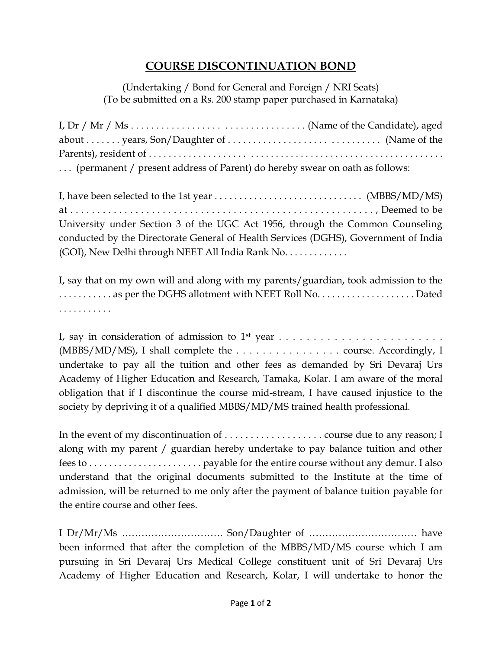## **COURSE DISCONTINUATION BOND**

(Undertaking / Bond for General and Foreign / NRI Seats) (To be submitted on a Rs. 200 stamp paper purchased in Karnataka)

| (permanent / present address of Parent) do hereby swear on oath as follows: |  |
|-----------------------------------------------------------------------------|--|

I, have been selected to the 1st year  $\dots \dots \dots \dots \dots \dots \dots \dots \dots$  (MBBS/MD/MS) at . . . . . . . . . . . . . . . . . . . . . . . . . . . . . . . . . . . . . . . . . . . . . . . . . . . . . . . . , Deemed to be University under Section 3 of the UGC Act 1956, through the Common Counseling conducted by the Directorate General of Health Services (DGHS), Government of India (GOI), New Delhi through NEET All India Rank No. . . . . . . . . . . . .

I, say that on my own will and along with my parents/guardian, took admission to the ........... as per the DGHS allotment with NEET Roll No......................... Dated . . . . . . . . . . .

I, say in consideration of admission to 1st year . . . . . . . . . . . . . . . . . . . . . . . . (MBBS/MD/MS), I shall complete the . . . . . . . . . . . . . . . . course. Accordingly, I undertake to pay all the tuition and other fees as demanded by Sri Devaraj Urs Academy of Higher Education and Research, Tamaka, Kolar. I am aware of the moral obligation that if I discontinue the course mid-stream, I have caused injustice to the society by depriving it of a qualified MBBS/MD/MS trained health professional.

In the event of my discontinuation of . . . . . . . . . . . . . . . . . . . course due to any reason; I along with my parent / guardian hereby undertake to pay balance tuition and other fees to . . . . . . . . . . . . . . . . . . . . . . . payable for the entire course without any demur. I also understand that the original documents submitted to the Institute at the time of admission, will be returned to me only after the payment of balance tuition payable for the entire course and other fees.

I Dr/Mr/Ms …………………………. Son/Daughter of …………………………… have been informed that after the completion of the MBBS/MD/MS course which I am pursuing in Sri Devaraj Urs Medical College constituent unit of Sri Devaraj Urs Academy of Higher Education and Research, Kolar, I will undertake to honor the